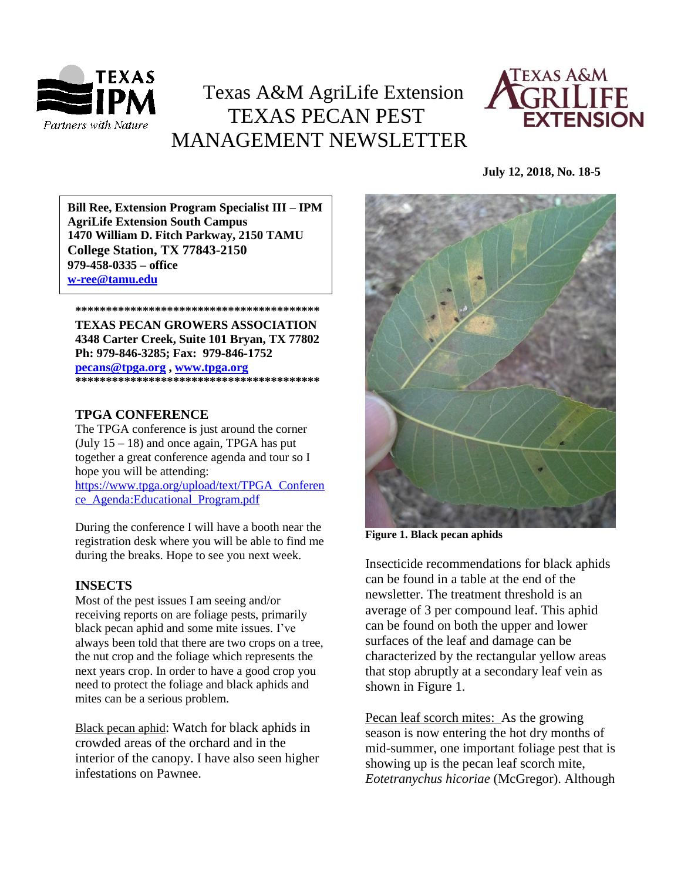

### Texas A&M AgriLife Extension TEXAS PECAN PEST MANAGEMENT NEWSLETTER



#### **July 12, 2018, No. 18-5**

**\*\*\*\*\*\*\*\*\*\*\*\*\*\*\*\*\*\*\*\*\*\*\*\*\*\*\*\*\*\*\*\*\*\*\*\*\*\*\*\* 1470 William D. Fitch Parkway, 2150 TAMU Bill Ree, Extension Program Specialist III – IPM AgriLife Extension South Campus College Station, TX 77843-2150 979-458-0335 – office [w-ree@tamu.edu](mailto:w-ree@tamu.edu)**

**\*\*\*\*\*\*\*\*\*\*\*\*\*\*\*\*\*\*\*\*\*\*\*\*\*\*\*\*\*\*\*\*\*\*\*\*\*\*\*\* TEXAS PECAN GROWERS ASSOCIATION 4348 Carter Creek, Suite 101 Bryan, TX 77802 Ph: 979-846-3285; Fax: 979-846-1752**

**[pecans@tpga.org](mailto:pecans@tpga.org) , [www.tpga.org](http://www.tpga.org/) \*\*\*\*\*\*\*\*\*\*\*\*\*\*\*\*\*\*\*\*\*\*\*\*\*\*\*\*\*\*\*\*\*\*\*\*\*\*\*\***

#### **TPGA CONFERENCE**

The TPGA conference is just around the corner (July  $15 - 18$ ) and once again, TPGA has put together a great conference agenda and tour so I hope you will be attending: [https://www.tpga.org/upload/text/TPGA\\_Conferen](https://www.tpga.org/upload/text/TPGA_Conference_Agenda:Educational_Program.pdf) [ce\\_Agenda:Educational\\_Program.pdf](https://www.tpga.org/upload/text/TPGA_Conference_Agenda:Educational_Program.pdf)

During the conference I will have a booth near the registration desk where you will be able to find me during the breaks. Hope to see you next week.

### **INSECTS**

Most of the pest issues I am seeing and/or receiving reports on are foliage pests, primarily black pecan aphid and some mite issues. I've always been told that there are two crops on a tree, the nut crop and the foliage which represents the next years crop. In order to have a good crop you need to protect the foliage and black aphids and mites can be a serious problem.

Black pecan aphid: Watch for black aphids in crowded areas of the orchard and in the interior of the canopy. I have also seen higher infestations on Pawnee.



**Figure 1. Black pecan aphids**

Insecticide recommendations for black aphids can be found in a table at the end of the newsletter. The treatment threshold is an average of 3 per compound leaf. This aphid can be found on both the upper and lower surfaces of the leaf and damage can be characterized by the rectangular yellow areas that stop abruptly at a secondary leaf vein as shown in Figure 1.

Pecan leaf scorch mites: As the growing season is now entering the hot dry months of mid-summer, one important foliage pest that is showing up is the pecan leaf scorch mite, *Eotetranychus hicoriae* (McGregor). Although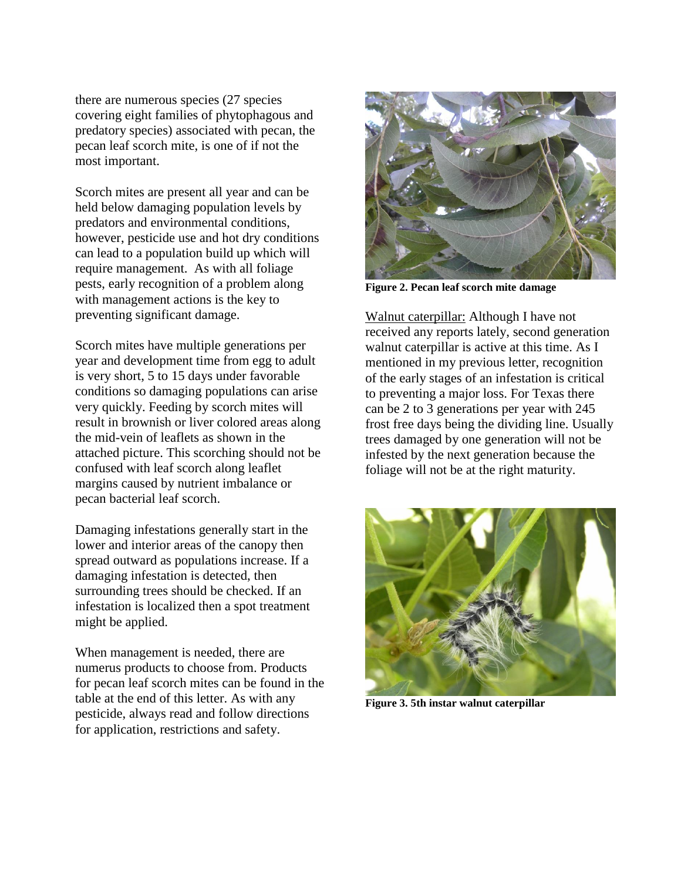there are numerous species (27 species covering eight families of phytophagous and predatory species) associated with pecan, the pecan leaf scorch mite, is one of if not the most important.

Scorch mites are present all year and can be held below damaging population levels by predators and environmental conditions, however, pesticide use and hot dry conditions can lead to a population build up which will require management. As with all foliage pests, early recognition of a problem along with management actions is the key to preventing significant damage.

Scorch mites have multiple generations per year and development time from egg to adult is very short, 5 to 15 days under favorable conditions so damaging populations can arise very quickly. Feeding by scorch mites will result in brownish or liver colored areas along the mid-vein of leaflets as shown in the attached picture. This scorching should not be confused with leaf scorch along leaflet margins caused by nutrient imbalance or pecan bacterial leaf scorch.

Damaging infestations generally start in the lower and interior areas of the canopy then spread outward as populations increase. If a damaging infestation is detected, then surrounding trees should be checked. If an infestation is localized then a spot treatment might be applied.

When management is needed, there are numerus products to choose from. Products for pecan leaf scorch mites can be found in the table at the end of this letter. As with any pesticide, always read and follow directions for application, restrictions and safety.



**Figure 2. Pecan leaf scorch mite damage**

Walnut caterpillar: Although I have not received any reports lately, second generation walnut caterpillar is active at this time. As I mentioned in my previous letter, recognition of the early stages of an infestation is critical to preventing a major loss. For Texas there can be 2 to 3 generations per year with 245 frost free days being the dividing line. Usually trees damaged by one generation will not be infested by the next generation because the foliage will not be at the right maturity.



**Figure 3. 5th instar walnut caterpillar**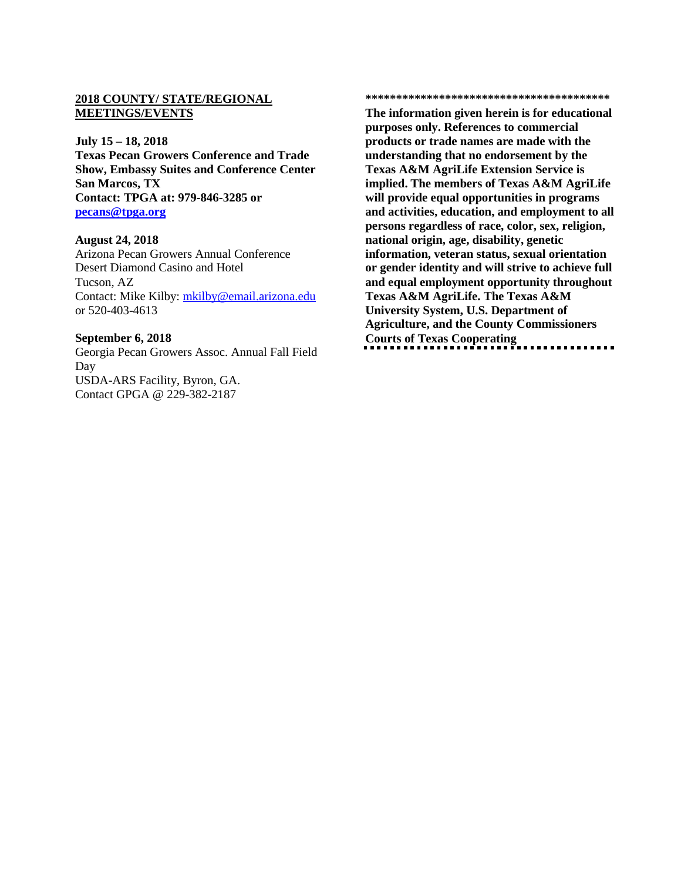#### **2018 COUNTY/ STATE/REGIONAL MEETINGS/EVENTS**

#### **July 15 – 18, 2018**

**Texas Pecan Growers Conference and Trade Show, Embassy Suites and Conference Center San Marcos, TX Contact: TPGA at: 979-846-3285 or [pecans@tpga.org](mailto:pecans@tpga.org)**

#### **August 24, 2018**

Arizona Pecan Growers Annual Conference Desert Diamond Casino and Hotel Tucson, AZ Contact: Mike Kilby: [mkilby@email.arizona.edu](mailto:mkilby@email.arizona.edu) or 520-403-4613

#### **September 6, 2018**

Georgia Pecan Growers Assoc. Annual Fall Field Day USDA-ARS Facility, Byron, GA. Contact GPGA @ 229-382-2187

#### **\*\*\*\*\*\*\*\*\*\*\*\*\*\*\*\*\*\*\*\*\*\*\*\*\*\*\*\*\*\*\*\*\*\*\*\*\*\*\*\***

**The information given herein is for educational purposes only. References to commercial products or trade names are made with the understanding that no endorsement by the Texas A&M AgriLife Extension Service is implied. The members of Texas A&M AgriLife will provide equal opportunities in programs and activities, education, and employment to all persons regardless of race, color, sex, religion, national origin, age, disability, genetic information, veteran status, sexual orientation or gender identity and will strive to achieve full and equal employment opportunity throughout Texas A&M AgriLife. The Texas A&M University System, U.S. Department of Agriculture, and the County Commissioners Courts of Texas Cooperating**